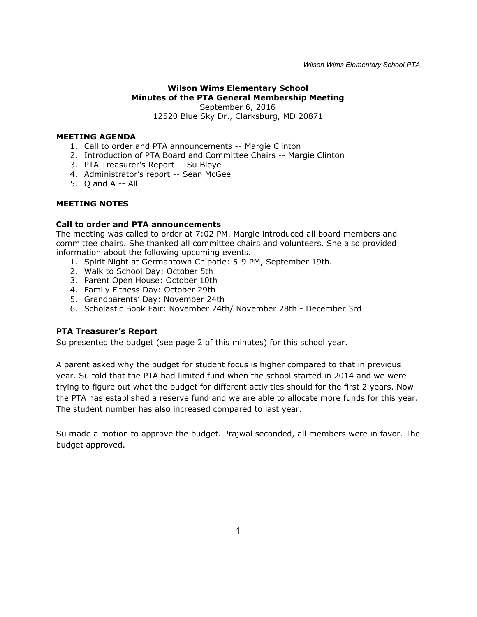# **Wilson Wims Elementary School Minutes of the PTA General Membership Meeting** September 6, 2016 12520 Blue Sky Dr., Clarksburg, MD 20871

# **MEETING AGENDA**

- 1. Call to order and PTA announcements -- Margie Clinton
- 2. Introduction of PTA Board and Committee Chairs -- Margie Clinton
- 3. PTA Treasurer's Report -- Su Bloye
- 4. Administrator's report -- Sean McGee
- 5. Q and A -- All

#### **MEETING NOTES**

#### **Call to order and PTA announcements**

The meeting was called to order at 7:02 PM. Margie introduced all board members and committee chairs. She thanked all committee chairs and volunteers. She also provided information about the following upcoming events.

- 1. Spirit Night at Germantown Chipotle: 5-9 PM, September 19th.
- 2. Walk to School Day: October 5th
- 3. Parent Open House: October 10th
- 4. Family Fitness Day: October 29th
- 5. Grandparents' Day: November 24th
- 6. Scholastic Book Fair: November 24th/ November 28th December 3rd

### **PTA Treasurer's Report**

Su presented the budget (see page 2 of this minutes) for this school year.

A parent asked why the budget for student focus is higher compared to that in previous year. Su told that the PTA had limited fund when the school started in 2014 and we were trying to figure out what the budget for different activities should for the first 2 years. Now the PTA has established a reserve fund and we are able to allocate more funds for this year. The student number has also increased compared to last year.

Su made a motion to approve the budget. Prajwal seconded, all members were in favor. The budget approved.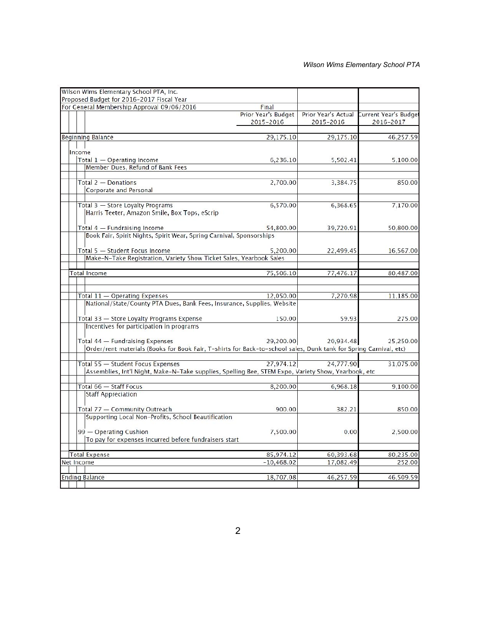|                                   | Wilson Wims Elementary School PTA, Inc.                                                                           |                     |                     |                       |
|-----------------------------------|-------------------------------------------------------------------------------------------------------------------|---------------------|---------------------|-----------------------|
|                                   | Proposed Budget for 2016-2017 Fiscal Year                                                                         |                     |                     |                       |
|                                   | For General Membership Approval 09/06/2016                                                                        | Final               |                     |                       |
|                                   |                                                                                                                   | Prior Year's Budget | Prior Year's Actual | Current Year's Budget |
|                                   |                                                                                                                   | 2015-2016           | 2015-2016           | 2016-2017             |
|                                   |                                                                                                                   |                     |                     |                       |
| <b>Beginning Balance</b>          |                                                                                                                   | 29,175.10           | 29,175.10           | 46,257.59             |
| Income                            |                                                                                                                   |                     |                     |                       |
|                                   | Total 1 - Operating Income                                                                                        | 6,236.10            | 5,502.41            | 5,100.00              |
|                                   | Member Dues, Refund of Bank Fees                                                                                  |                     |                     |                       |
|                                   |                                                                                                                   |                     |                     |                       |
|                                   | Total 2 - Donations                                                                                               | 2,700.00            | 3,384.75            | 850.00                |
|                                   | Corporate and Personal                                                                                            |                     |                     |                       |
|                                   |                                                                                                                   |                     |                     |                       |
|                                   | Total 3 - Store Loyalty Programs                                                                                  | 6,570.00            | 6,368.65            | 7,170.00              |
|                                   | Harris Teeter, Amazon Smile, Box Tops, eScrip                                                                     |                     |                     |                       |
|                                   |                                                                                                                   |                     |                     |                       |
|                                   | Total 4 - Fundraising Income                                                                                      | 54,800.00           | 39,720.91           | 50,800.00             |
|                                   | Book Fair, Spirit Nights, Spirit Wear, Spring Carnival, Sponsorships                                              |                     |                     |                       |
|                                   |                                                                                                                   |                     |                     |                       |
|                                   | Total 5 - Student Focus Income                                                                                    | 5,200.00            | 22,499.45           | 16,567.00             |
|                                   | Make-N-Take Registration, Variety Show Ticket Sales, Yearbook Sales                                               |                     |                     |                       |
|                                   |                                                                                                                   |                     |                     |                       |
|                                   | <b>Total Income</b>                                                                                               | 75,506.10           | 77,476.17           | 80,487.00             |
|                                   |                                                                                                                   |                     |                     |                       |
|                                   |                                                                                                                   |                     |                     |                       |
|                                   | Total 11 - Operating Expenses                                                                                     | 12,050.00           | 7,270.98            | 11,185.00             |
|                                   | National/State/County PTA Dues, Bank Fees, Insurance, Supplies, Website                                           |                     |                     |                       |
|                                   |                                                                                                                   |                     |                     |                       |
|                                   | Total 33 - Store Loyalty Programs Expense                                                                         | 150.00              | 59.93               | 275.00                |
|                                   | Incentives for participation in programs                                                                          |                     |                     |                       |
|                                   |                                                                                                                   |                     |                     |                       |
|                                   | Total 44 - Fundraising Expenses                                                                                   | 29,200.00           | 20,934.48           | 25,250.00             |
|                                   | Order/rent materials (Books for Book Fair, T-shirts for Back-to-school sales, Dunk tank for Spring Carnival, etc) |                     |                     |                       |
|                                   | Total 55 - Student Focus Expenses                                                                                 | 27,974.12           | 24,777.90           | 31,075.00             |
|                                   | Assemblies, Int'l Night, Make-N-Take supplies, Spelling Bee, STEM Expo, Variety Show, Yearbook, etc               |                     |                     |                       |
|                                   |                                                                                                                   |                     |                     |                       |
|                                   | Total 66 - Staff Focus                                                                                            | 8,200.00            | 6,968.18            | 9,100.00              |
|                                   | <b>Staff Appreciation</b>                                                                                         |                     |                     |                       |
|                                   |                                                                                                                   |                     |                     |                       |
|                                   | Total 77 - Community Outreach                                                                                     | 900.00              | 382.21              | 850.00                |
|                                   | Supporting Local Non-Profits, School Beautification                                                               |                     |                     |                       |
|                                   |                                                                                                                   |                     |                     |                       |
|                                   | 99 - Operating Cushion                                                                                            | 7,500.00            | 0.00                | 2,500.00              |
|                                   | To pay for expenses incurred before fundraisers start                                                             |                     |                     |                       |
|                                   |                                                                                                                   |                     |                     |                       |
| <b>Total Expense</b><br>85,974.12 |                                                                                                                   | 60,393.68           | 80,235.00           |                       |
| Net Income                        |                                                                                                                   | $-10,468.02$        | 17,082.49           | 252.00                |
|                                   |                                                                                                                   |                     |                     |                       |
|                                   | <b>Ending Balance</b>                                                                                             | 18,707.08           | 46,257.59           | 46,509.59             |
|                                   |                                                                                                                   |                     |                     |                       |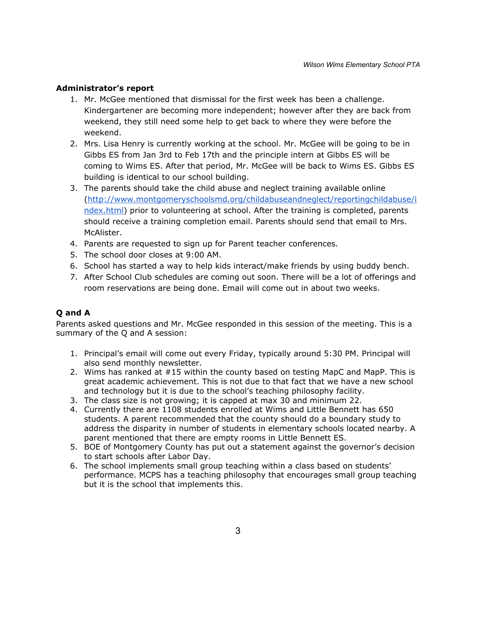#### **Administrator's report**

- 1. Mr. McGee mentioned that dismissal for the first week has been a challenge. Kindergartener are becoming more independent; however after they are back from weekend, they still need some help to get back to where they were before the weekend.
- 2. Mrs. Lisa Henry is currently working at the school. Mr. McGee will be going to be in Gibbs ES from Jan 3rd to Feb 17th and the principle intern at Gibbs ES will be coming to Wims ES. After that period, Mr. McGee will be back to Wims ES. Gibbs ES building is identical to our school building.
- 3. The parents should take the child abuse and neglect training available online [\(http://www.montgomeryschoolsmd.org/childabuseandneglect/reportingchildabuse/i](http://www.montgomeryschoolsmd.org/childabuseandneglect/reportingchildabuse/index.html) [ndex.html\)](http://www.montgomeryschoolsmd.org/childabuseandneglect/reportingchildabuse/index.html) prior to volunteering at school. After the training is completed, parents should receive a training completion email. Parents should send that email to Mrs. McAlister.
- 4. Parents are requested to sign up for Parent teacher conferences.
- 5. The school door closes at 9:00 AM.
- 6. School has started a way to help kids interact/make friends by using buddy bench.
- 7. After School Club schedules are coming out soon. There will be a lot of offerings and room reservations are being done. Email will come out in about two weeks.

### **Q and A**

Parents asked questions and Mr. McGee responded in this session of the meeting. This is a summary of the Q and A session:

- 1. Principal's email will come out every Friday, typically around 5:30 PM. Principal will also send monthly newsletter.
- 2. Wims has ranked at #15 within the county based on testing MapC and MapP. This is great academic achievement. This is not due to that fact that we have a new school and technology but it is due to the school's teaching philosophy facility.
- 3. The class size is not growing; it is capped at max 30 and minimum 22.
- 4. Currently there are 1108 students enrolled at Wims and Little Bennett has 650 students. A parent recommended that the county should do a boundary study to address the disparity in number of students in elementary schools located nearby. A parent mentioned that there are empty rooms in Little Bennett ES.
- 5. BOE of Montgomery County has put out a statement against the governor's decision to start schools after Labor Day.
- 6. The school implements small group teaching within a class based on students' performance. MCPS has a teaching philosophy that encourages small group teaching but it is the school that implements this.